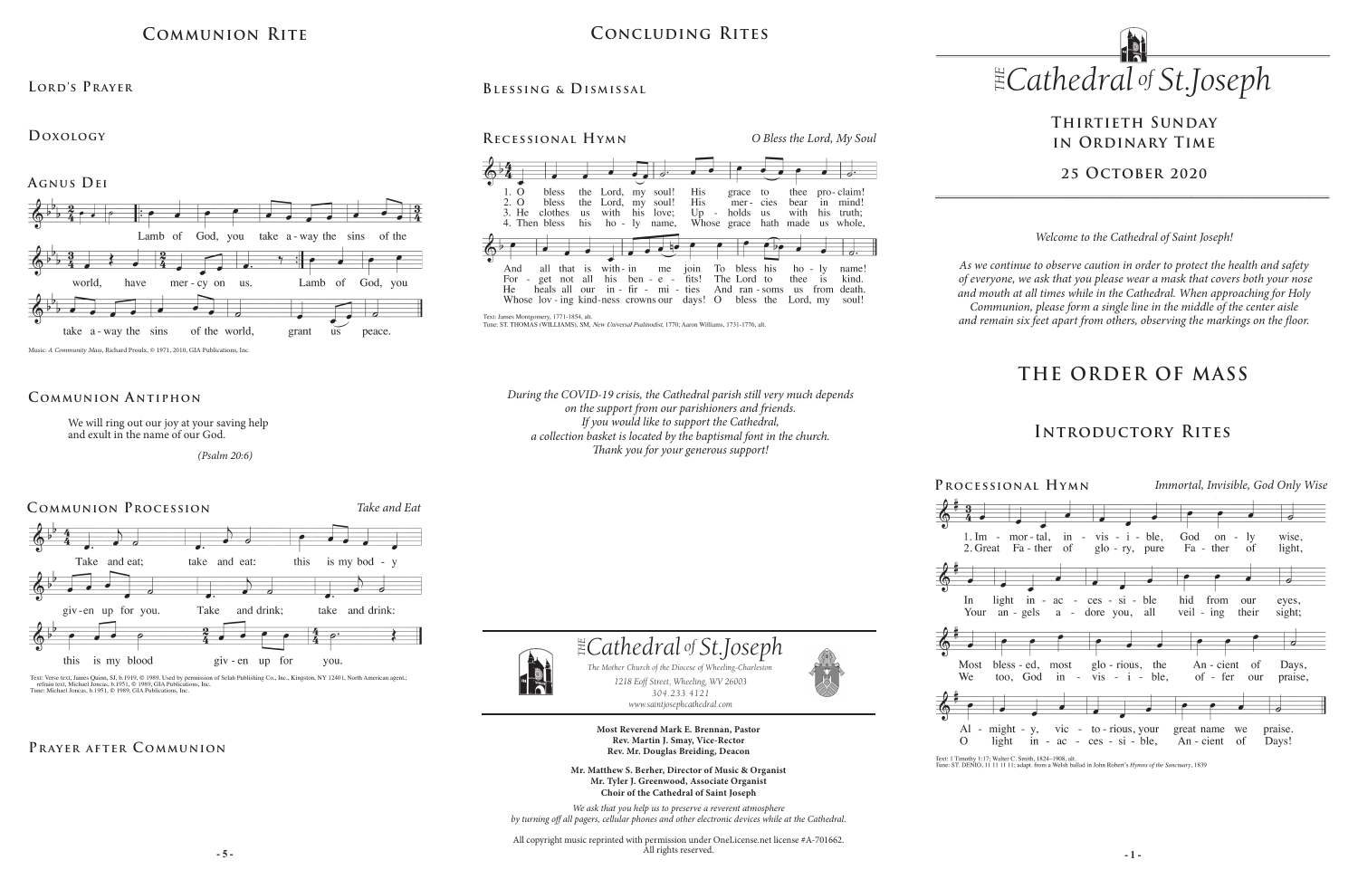# **THE ORDER OF MASS**

# **Thirtieth Sunday in Ordinary Time**

**25 October 2020**

# **Communion Rite**

### **Lord's Prayer**

### **Doxology**

**Agnus Dei**



Music: *A Community Mass,* Richard Proulx, © 1971, 2010, GIA Publications, Inc.

We will ring out our joy at your saving help and exult in the name of our God.

 *(Psalm 20:6)*

## **Communion A ntiphon**



Text: Verse text, James Quinn, SJ, b.1919, © 1989. Used by permission of Selah Publishing Co., Inc., Kingston, NY 12401, North American agent.;<br>refrain text, Michael Joncas, b.1951, © 1989, GIA Publications, Inc.<br>Tune: Mic

# PRAYER AFTER COMMUNION

# **Concluding Rites**

### **Recessional Hymn**



*O Bless the Lord, My Soul*



Tune: ST. THOMAS (WILLIAMS), SM, *New Universal Psalmodist*, 1770; Aaron Williams, 1731-1776, alt.

*1218 Eoff Street, Wheeling, WV 26003 304.233.4121 304.233.4121*

*www.saintjosephcathedral.com*



We



**- 5 - - 1 -** All copyright music reprinted with permission under OneLicense.net license #A-701662. All rights reserved.



*www.saintjosephcathedral.com*

**Most Reverend Mark E. Brennan, Pastor Rev. Martin J. Smay, Vice-Rector Rev. Mr. Douglas Breiding, Deacon Mr. Matthew S. Berher, Director of Music & Organist Mr. Tyler J. Greenwood, Associate Organist**

**Choir of the Cathedral of Saint Joseph** *We ask that you help us to preserve a reverent atmosphere by turning off all pagers, cellular phones and other electronic devices while at the Cathedral.*

*1218 Eoff Street, Wheeling, WV 26003 The Mother Church of the Diocese of Wheeling-Charleston*



Text: 1 Timothy 1:17; Walter C. Smith, 1824-1908, alt.<br>Tune: ST. DENIO, 11 11 11 11; adapt. from a Welsh ballad in John Robert's Hymns of the Sanctuary, 1839

# **Introductory Rites**

*Welcome to the Cathedral of Saint Joseph!*

*As we continue to observe caution in order to protect the health and safety of everyone, we ask that you please wear a mask that covers both your nose and mouth at all times while in the Cathedral. When approaching for Holy Communion, please form a single line in the middle of the center aisle and remain six feet apart from others, observing the markings on the floor.* 

*During the COVID-19 crisis, the Cathedral parish still very much depends on the support from our parishioners and friends. If you would like to support the Cathedral, a collection basket is located by the baptismal font in the church. Thank you for your generous support!*